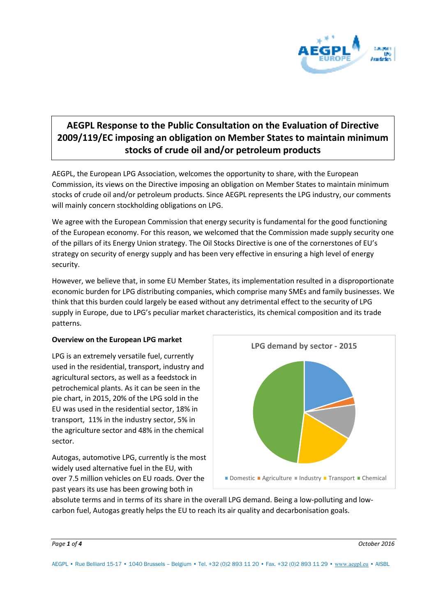

# **AEGPL Response to the Public Consultation on the Evaluation of Directive 2009/119/EC imposing an obligation on Member States to maintain minimum stocks of crude oil and/or petroleum products**

AEGPL, the European LPG Association, welcomes the opportunity to share, with the European Commission, its views on the Directive imposing an obligation on Member States to maintain minimum stocks of crude oil and/or petroleum products. Since AEGPL represents the LPG industry, our comments will mainly concern stockholding obligations on LPG.

We agree with the European Commission that energy security is fundamental for the good functioning of the European economy. For this reason, we welcomed that the Commission made supply security one of the pillars of its Energy Union strategy. The Oil Stocks Directive is one of the cornerstones of EU's strategy on security of energy supply and has been very effective in ensuring a high level of energy security.

However, we believe that, in some EU Member States, its implementation resulted in a disproportionate economic burden for LPG distributing companies, which comprise many SMEs and family businesses. We think that this burden could largely be eased without any detrimental effect to the security of LPG supply in Europe, due to LPG's peculiar market characteristics, its chemical composition and its trade patterns.

#### **Overview on the European LPG market**

LPG is an extremely versatile fuel, currently used in the residential, transport, industry and agricultural sectors, as well as a feedstock in petrochemical plants. As it can be seen in the pie chart, in 2015, 20% of the LPG sold in the EU was used in the residential sector, 18% in transport, 11% in the industry sector, 5% in the agriculture sector and 48% in the chemical sector.

Autogas, automotive LPG, currently is the most widely used alternative fuel in the EU, with over 7.5 million vehicles on EU roads. Over the past years its use has been growing both in



absolute terms and in terms of its share in the overall LPG demand. Being a low-polluting and lowcarbon fuel, Autogas greatly helps the EU to reach its air quality and decarbonisation goals.

AEGPL • Rue Belliard 15-17 • 1040 Brussels – Belgium • Tel. +32 (0)2 893 11 20 • Fax. +32 (0)2 893 11 29 • [www.aegpl.eu](file://///aegpl-dc/Company/Documents%20and%20Settings/moniques/Local%20Settings/Temporary%20Internet%20Files/Content.Outlook/417KUO6M/www.aegpl.eu) • AISBL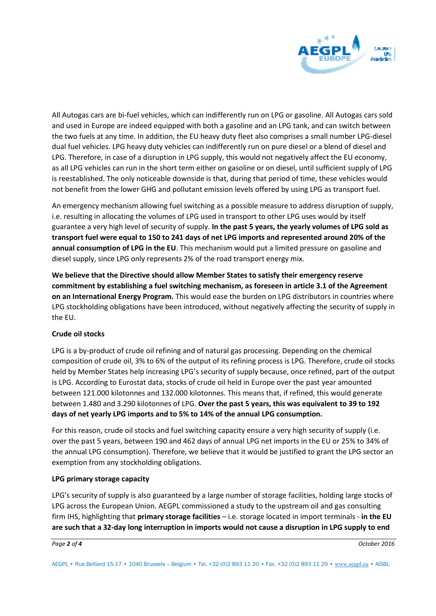

All Autogas cars are bi-fuel vehicles, which can indifferently run on LPG or gasoline. All Autogas cars sold and used in Europe are indeed equipped with both a gasoline and an LPG tank, and can switch between the two fuels at any time. In addition, the EU heavy duty fleet also comprises a small number LPG-diesel dual fuel vehicles. LPG heavy duty vehicles can indifferently run on pure diesel or a blend of diesel and LPG. Therefore, in case of a disruption in LPG supply, this would not negatively affect the EU economy, as all LPG vehicles can run in the short term either on gasoline or on diesel, until sufficient supply of LPG is reestablished. The only noticeable downside is that, during that period of time, these vehicles would not benefit from the lower GHG and pollutant emission levels offered by using LPG as transport fuel.

An emergency mechanism allowing fuel switching as a possible measure to address disruption of supply, i.e. resulting in allocating the volumes of LPG used in transport to other LPG uses would by itself guarantee a very high level of security of supply. **In the past 5 years, the yearly volumes of LPG sold as transport fuel were equal to 150 to 241 days of net LPG imports and represented around 20% of the annual consumption of LPG in the EU**. This mechanism would put a limited pressure on gasoline and diesel supply, since LPG only represents 2% of the road transport energy mix.

**We believe that the Directive should allow Member States to satisfy their emergency reserve commitment by establishing a fuel switching mechanism, as foreseen in article 3.1 of the Agreement on an International Energy Program.** This would ease the burden on LPG distributors in countries where LPG stockholding obligations have been introduced, without negatively affecting the security of supply in the EU.

#### **Crude oil stocks**

LPG is a by-product of crude oil refining and of natural gas processing. Depending on the chemical composition of crude oil, 3% to 6% of the output of its refining process is LPG. Therefore, crude oil stocks held by Member States help increasing LPG's security of supply because, once refined, part of the output is LPG. According to Eurostat data, stocks of crude oil held in Europe over the past year amounted between 121.000 kilotonnes and 132.000 kilotonnes. This means that, if refined, this would generate between 1.480 and 3.290 kilotonnes of LPG. **Over the past 5 years, this was equivalent to 39 to 192 days of net yearly LPG imports and to 5% to 14% of the annual LPG consumption.**

For this reason, crude oil stocks and fuel switching capacity ensure a very high security of supply (i.e. over the past 5 years, between 190 and 462 days of annual LPG net imports in the EU or 25% to 34% of the annual LPG consumption). Therefore, we believe that it would be justified to grant the LPG sector an exemption from any stockholding obligations.

#### **LPG primary storage capacity**

LPG's security of supply is also guaranteed by a large number of storage facilities, holding large stocks of LPG across the European Union. AEGPL commissioned a study to the upstream oil and gas consulting firm IHS, highlighting that **primary storage facilities** – i.e. storage located in import terminals - **in the EU are such that a 32-day long interruption in imports would not cause a disruption in LPG supply to end**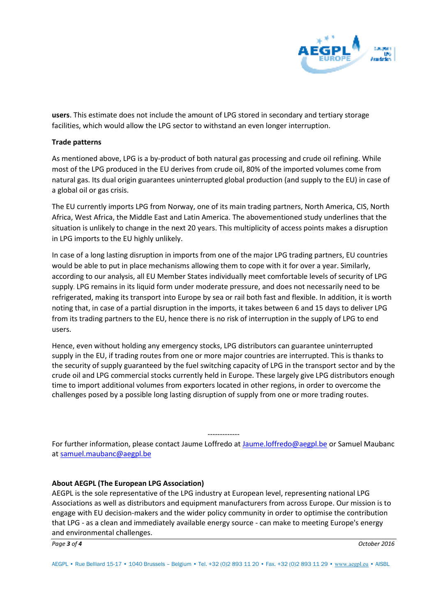

**users**. This estimate does not include the amount of LPG stored in secondary and tertiary storage facilities, which would allow the LPG sector to withstand an even longer interruption.

#### **Trade patterns**

As mentioned above, LPG is a by-product of both natural gas processing and crude oil refining. While most of the LPG produced in the EU derives from crude oil, 80% of the imported volumes come from natural gas. Its dual origin guarantees uninterrupted global production (and supply to the EU) in case of a global oil or gas crisis.

The EU currently imports LPG from Norway, one of its main trading partners, North America, CIS, North Africa, West Africa, the Middle East and Latin America. The abovementioned study underlines that the situation is unlikely to change in the next 20 years. This multiplicity of access points makes a disruption in LPG imports to the EU highly unlikely.

In case of a long lasting disruption in imports from one of the major LPG trading partners, EU countries would be able to put in place mechanisms allowing them to cope with it for over a year. Similarly, according to our analysis, all EU Member States individually meet comfortable levels of security of LPG supply. LPG remains in its liquid form under moderate pressure, and does not necessarily need to be refrigerated, making its transport into Europe by sea or rail both fast and flexible. In addition, it is worth noting that, in case of a partial disruption in the imports, it takes between 6 and 15 days to deliver LPG from its trading partners to the EU, hence there is no risk of interruption in the supply of LPG to end users.

Hence, even without holding any emergency stocks, LPG distributors can guarantee uninterrupted supply in the EU, if trading routes from one or more major countries are interrupted. This is thanks to the security of supply guaranteed by the fuel switching capacity of LPG in the transport sector and by the crude oil and LPG commercial stocks currently held in Europe. These largely give LPG distributors enough time to import additional volumes from exporters located in other regions, in order to overcome the challenges posed by a possible long lasting disruption of supply from one or more trading routes.

------------- For further information, please contact Jaume Loffredo at [Jaume.loffredo@aegpl.be](mailto:Jaume.loffredo@aegpl.be) or Samuel Maubanc at [samuel.maubanc@aegpl.be](mailto:samuel.maubanc@aegpl.be)

#### **About AEGPL (The European LPG Association)**

AEGPL is the sole representative of the LPG industry at European level, representing national LPG Associations as well as distributors and equipment manufacturers from across Europe. Our mission is to engage with EU decision-makers and the wider policy community in order to optimise the contribution that LPG - as a clean and immediately available energy source - can make to meeting Europe's energy and environmental challenges.

AEGPL • Rue Belliard 15-17 • 1040 Brussels – Belgium • Tel. +32 (0)2 893 11 20 • Fax. +32 (0)2 893 11 29 • [www.aegpl.eu](file://///aegpl-dc/Company/Documents%20and%20Settings/moniques/Local%20Settings/Temporary%20Internet%20Files/Content.Outlook/417KUO6M/www.aegpl.eu) • AISBL